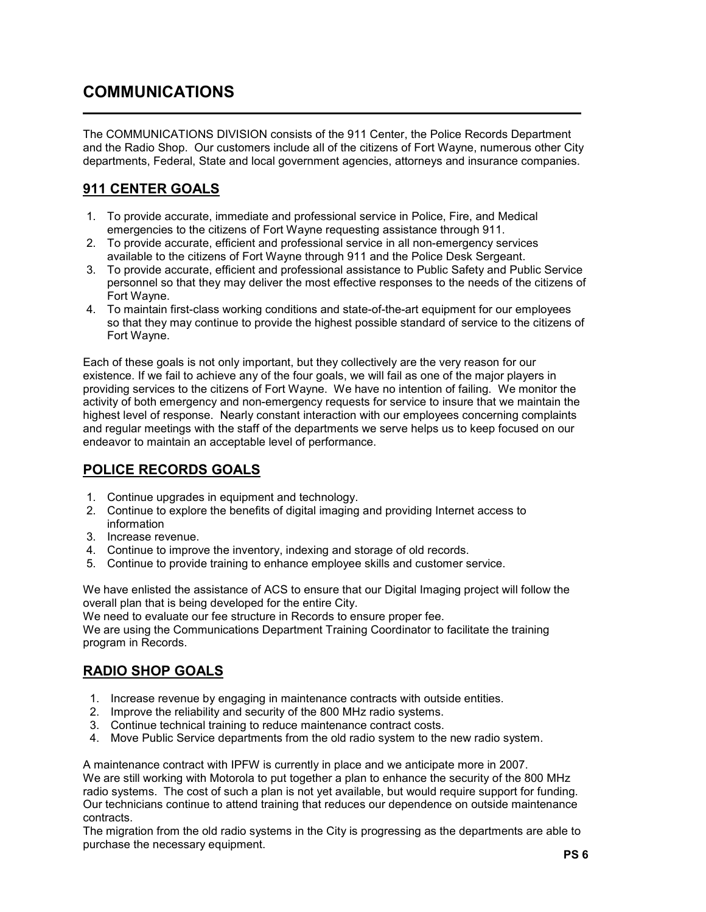# COMMUNICATIONS

l

The COMMUNICATIONS DIVISION consists of the 911 Center, the Police Records Department and the Radio Shop. Our customers include all of the citizens of Fort Wayne, numerous other City departments, Federal, State and local government agencies, attorneys and insurance companies.

# 911 CENTER GOALS

- 1. To provide accurate, immediate and professional service in Police, Fire, and Medical emergencies to the citizens of Fort Wayne requesting assistance through 911.
- 2. To provide accurate, efficient and professional service in all non-emergency services available to the citizens of Fort Wayne through 911 and the Police Desk Sergeant.
- 3. To provide accurate, efficient and professional assistance to Public Safety and Public Service personnel so that they may deliver the most effective responses to the needs of the citizens of Fort Wayne.
- 4. To maintain first-class working conditions and state-of-the-art equipment for our employees so that they may continue to provide the highest possible standard of service to the citizens of Fort Wayne.

Each of these goals is not only important, but they collectively are the very reason for our existence. If we fail to achieve any of the four goals, we will fail as one of the major players in providing services to the citizens of Fort Wayne. We have no intention of failing. We monitor the activity of both emergency and non-emergency requests for service to insure that we maintain the highest level of response. Nearly constant interaction with our employees concerning complaints and regular meetings with the staff of the departments we serve helps us to keep focused on our endeavor to maintain an acceptable level of performance.

### POLICE RECORDS GOALS

- 1. Continue upgrades in equipment and technology.
- 2. Continue to explore the benefits of digital imaging and providing Internet access to information
- 3. Increase revenue.
- 4. Continue to improve the inventory, indexing and storage of old records.
- 5. Continue to provide training to enhance employee skills and customer service.

We have enlisted the assistance of ACS to ensure that our Digital Imaging project will follow the overall plan that is being developed for the entire City.

We need to evaluate our fee structure in Records to ensure proper fee.

We are using the Communications Department Training Coordinator to facilitate the training program in Records.

### RADIO SHOP GOALS

- 1. Increase revenue by engaging in maintenance contracts with outside entities.
- 2. Improve the reliability and security of the 800 MHz radio systems.
- 3. Continue technical training to reduce maintenance contract costs.
- 4. Move Public Service departments from the old radio system to the new radio system.

A maintenance contract with IPFW is currently in place and we anticipate more in 2007. We are still working with Motorola to put together a plan to enhance the security of the 800 MHz radio systems. The cost of such a plan is not yet available, but would require support for funding. Our technicians continue to attend training that reduces our dependence on outside maintenance contracts.

The migration from the old radio systems in the City is progressing as the departments are able to purchase the necessary equipment.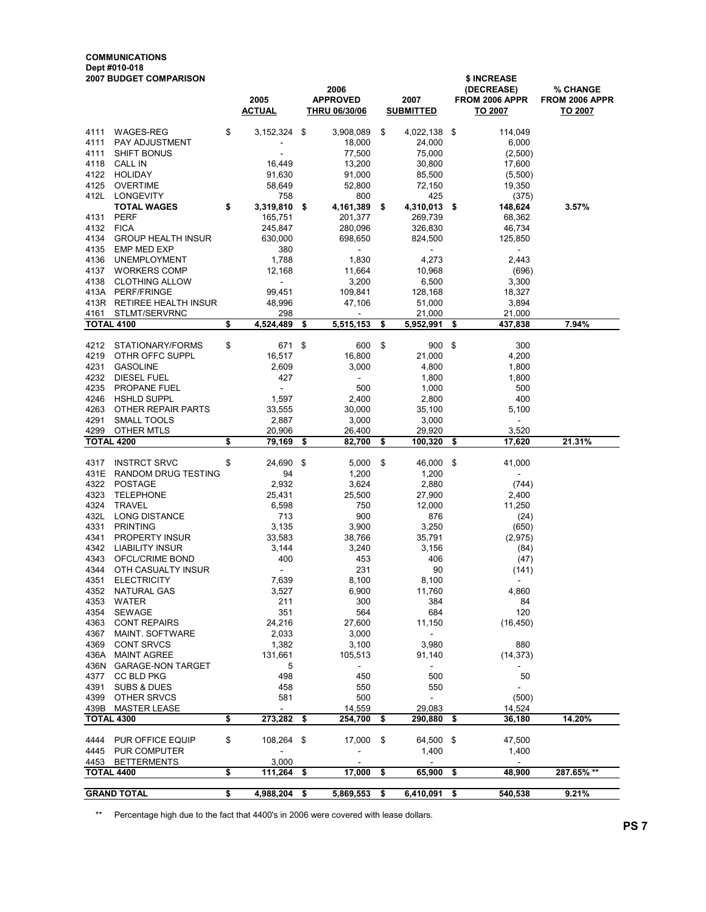#### COMMUNICATIONS Dept #010-018

| <b>2007 BUDGET COMPARISON</b> |                            |    |                          |     |                         |      | \$ INCREASE                        |      |                              |                                   |  |  |
|-------------------------------|----------------------------|----|--------------------------|-----|-------------------------|------|------------------------------------|------|------------------------------|-----------------------------------|--|--|
|                               |                            |    | 2005                     |     | 2006<br><b>APPROVED</b> |      | 2007                               |      | (DECREASE)<br>FROM 2006 APPR | <b>% CHANGE</b><br>FROM 2006 APPR |  |  |
|                               |                            |    | <u>ACTUAL</u>            |     | <b>THRU 06/30/06</b>    |      | <b>SUBMITTED</b>                   |      | <u>TO 2007</u>               | <u>TO 2007</u>                    |  |  |
|                               |                            |    |                          |     |                         |      |                                    |      |                              |                                   |  |  |
| 4111                          | WAGES-REG                  | \$ | 3,152,324 \$             |     | 3,908,089               | \$   | 4,022,138 \$                       |      | 114,049                      |                                   |  |  |
| 4111                          | PAY ADJUSTMENT             |    |                          |     | 18,000                  |      | 24,000                             |      | 6,000                        |                                   |  |  |
| 4111                          | <b>SHIFT BONUS</b>         |    | ä,                       |     | 77,500                  |      | 75,000                             |      | (2,500)                      |                                   |  |  |
| 4118                          | <b>CALL IN</b>             |    | 16,449                   |     | 13,200                  |      | 30,800                             |      | 17,600                       |                                   |  |  |
| 4122                          | <b>HOLIDAY</b>             |    | 91,630                   |     | 91,000                  |      | 85,500                             |      | (5,500)                      |                                   |  |  |
| 4125                          | <b>OVERTIME</b>            |    | 58,649                   |     | 52,800                  |      | 72,150                             |      | 19,350                       |                                   |  |  |
| 412L                          | LONGEVITY                  |    | 758                      |     | 800                     |      | 425                                |      | (375)                        |                                   |  |  |
|                               | <b>TOTAL WAGES</b>         | \$ | 3,319,810 \$             |     | 4,161,389               | - \$ | 4,310,013 \$                       |      | 148,624                      | 3.57%                             |  |  |
| 4131                          | <b>PERF</b>                |    | 165,751                  |     | 201,377                 |      | 269,739                            |      | 68,362                       |                                   |  |  |
| 4132                          | <b>FICA</b>                |    | 245,847                  |     | 280,096                 |      | 326,830                            |      | 46,734                       |                                   |  |  |
| 4134                          | <b>GROUP HEALTH INSUR</b>  |    | 630,000                  |     | 698,650                 |      | 824,500                            |      | 125,850                      |                                   |  |  |
| 4135                          | EMP MED EXP                |    | 380                      |     | $\sim$                  |      | $\sim$                             |      | $\sim$                       |                                   |  |  |
| 4136                          | UNEMPLOYMENT               |    | 1,788                    |     | 1,830                   |      | 4,273                              |      | 2,443                        |                                   |  |  |
| 4137                          | <b>WORKERS COMP</b>        |    | 12,168                   |     | 11,664                  |      | 10,968                             |      | (696)                        |                                   |  |  |
| 4138                          | <b>CLOTHING ALLOW</b>      |    | $\omega$                 |     | 3,200                   |      | 6,500                              |      | 3,300                        |                                   |  |  |
|                               | 413A PERF/FRINGE           |    | 99,451                   |     | 109,841                 |      | 128,168                            |      | 18,327                       |                                   |  |  |
|                               | 413R RETIREE HEALTH INSUR  |    | 48,996                   |     | 47,106                  |      | 51,000                             |      | 3,894                        |                                   |  |  |
| 4161                          | STLMT/SERVRNC              |    | 298                      |     | $\blacksquare$          |      | 21,000                             |      | 21,000                       |                                   |  |  |
| <b>TOTAL 4100</b>             |                            | \$ | 4,524,489                | \$  | 5,515,153               | \$   | 5,952,991                          | \$   | 437,838                      | 7.94%                             |  |  |
| 4212                          | STATIONARY/FORMS           | \$ | 671                      | -\$ | 600                     | -\$  | 900                                | -\$  | 300                          |                                   |  |  |
| 4219                          | OTHR OFFC SUPPL            |    | 16,517                   |     | 16,800                  |      | 21,000                             |      | 4,200                        |                                   |  |  |
| 4231                          | <b>GASOLINE</b>            |    | 2,609                    |     | 3,000                   |      | 4,800                              |      | 1,800                        |                                   |  |  |
| 4232                          | DIESEL FUEL                |    | 427                      |     | $\sim$                  |      | 1,800                              |      | 1,800                        |                                   |  |  |
| 4235                          | PROPANE FUEL               |    | $\blacksquare$           |     | 500                     |      | 1,000                              |      | 500                          |                                   |  |  |
| 4246                          | <b>HSHLD SUPPL</b>         |    | 1,597                    |     | 2,400                   |      | 2,800                              |      | 400                          |                                   |  |  |
| 4263                          | OTHER REPAIR PARTS         |    | 33,555                   |     | 30,000                  |      | 35.100                             |      | 5,100                        |                                   |  |  |
| 4291                          | SMALL TOOLS                |    | 2,887                    |     | 3,000                   |      | 3,000                              |      | $\overline{\phantom{a}}$     |                                   |  |  |
| 4299                          | OTHER MTLS                 |    | 20,906                   |     | 26,400                  |      | 29,920                             |      | 3,520                        |                                   |  |  |
| <b>TOTAL 4200</b>             |                            | \$ | 79,169                   | -\$ | 82,700                  | \$   | 100,320                            | -\$  | 17,620                       | 21.31%                            |  |  |
|                               |                            |    |                          |     |                         |      |                                    |      |                              |                                   |  |  |
| 4317                          | <b>INSTRCT SRVC</b>        | \$ | 24,690 \$                |     | 5,000                   | -\$  | 46,000 \$                          |      | 41,000                       |                                   |  |  |
| 431E                          | <b>RANDOM DRUG TESTING</b> |    | 94                       |     | 1,200                   |      | 1,200                              |      |                              |                                   |  |  |
| 4322                          | <b>POSTAGE</b>             |    | 2,932                    |     | 3,624                   |      | 2,880                              |      | (744)                        |                                   |  |  |
| 4323                          | <b>TELEPHONE</b>           |    | 25,431                   |     | 25,500                  |      | 27,900                             |      | 2,400                        |                                   |  |  |
| 4324                          | TRAVEL                     |    | 6,598                    |     | 750                     |      | 12,000                             |      | 11,250                       |                                   |  |  |
| 432L                          | <b>LONG DISTANCE</b>       |    | 713                      |     | 900                     |      | 876                                |      | (24)                         |                                   |  |  |
| 4331                          | <b>PRINTING</b>            |    | 3,135                    |     | 3,900                   |      | 3,250                              |      | (650)                        |                                   |  |  |
| 4341                          | PROPERTY INSUR             |    | 33,583                   |     | 38,766                  |      | 35,791                             |      | (2,975)                      |                                   |  |  |
| 4342                          | <b>LIABILITY INSUR</b>     |    | 3,144                    |     | 3,240                   |      | 3,156                              |      | (84)                         |                                   |  |  |
| 4343                          | OFCL/CRIME BOND            |    | 400                      |     | 453                     |      | 406                                |      | (47)                         |                                   |  |  |
| 4344                          | OTH CASUALTY INSUR         |    | $\overline{\phantom{a}}$ |     | 231                     |      | 90                                 |      | (141)                        |                                   |  |  |
| 4351                          | <b>ELECTRICITY</b>         |    | 7,639                    |     | 8,100                   |      | 8,100                              |      | $\overline{\phantom{a}}$     |                                   |  |  |
| 4352                          | NATURAL GAS                |    | 3,527                    |     | 6,900                   |      | 11,760                             |      | 4,860                        |                                   |  |  |
|                               | 4353 WATER                 |    | 211                      |     | 300                     |      | 384                                |      | 84                           |                                   |  |  |
| 4354                          | SEWAGE                     |    | 351                      |     | 564                     |      | 684                                |      | 120                          |                                   |  |  |
| 4363                          | <b>CONT REPAIRS</b>        |    | 24,216                   |     | 27,600                  |      | 11,150                             |      | (16, 450)                    |                                   |  |  |
| 4367                          | MAINT. SOFTWARE            |    | 2,033                    |     | 3,000                   |      | $\sim$                             |      |                              |                                   |  |  |
| 4369                          | <b>CONT SRVCS</b>          |    | 1,382                    |     | 3,100                   |      | 3,980                              |      | 880                          |                                   |  |  |
|                               | 436A MAINT AGREE           |    | 131,661                  |     | 105,513                 |      | 91,140                             |      | (14, 373)                    |                                   |  |  |
|                               | 436N GARAGE-NON TARGET     |    | 5                        |     | $\sim$                  |      | $\omega_{\rm c}$                   |      | $\sim$                       |                                   |  |  |
| 4377                          | CC BLD PKG                 |    | 498                      |     | 450                     |      | 500                                |      | 50                           |                                   |  |  |
| 4391                          | SUBS & DUES                |    | 458                      |     | 550                     |      | 550                                |      |                              |                                   |  |  |
| 4399                          | OTHER SRVCS                |    | 581<br>$\blacksquare$    |     | 500                     |      | $\omega_{\rm{eff}}$                |      | (500)                        |                                   |  |  |
| 439B<br><b>TOTAL 4300</b>     | <b>MASTER LEASE</b>        | \$ | 273,282                  | \$  | 14,559<br>254,700       | \$   | 29,083<br>290,880                  | - \$ | 14,524<br>36,180             | 14.20%                            |  |  |
|                               |                            |    |                          |     |                         |      |                                    |      |                              |                                   |  |  |
| 4444                          | PUR OFFICE EQUIP           | \$ | 108,264 \$               |     | 17,000                  | -\$  | 64,500 \$                          |      | 47,500                       |                                   |  |  |
|                               | 4445 PUR COMPUTER          |    | $\omega$                 |     | ÷,                      |      | 1,400                              |      | 1,400<br>$\sim$              |                                   |  |  |
| 4453<br><b>TOTAL 4400</b>     | <b>BETTERMENTS</b>         | \$ | 3,000<br>111,264         | \$  | 17,000                  | \$   | $\overline{\phantom{a}}$<br>65,900 | -\$  | 48,900                       | 287.65% **                        |  |  |
|                               | <b>GRAND TOTAL</b>         | \$ | 4,988,204 \$             |     | 5,869,553               | \$   | 6,410,091                          | \$   | 540,538                      | 9.21%                             |  |  |

\*\* Percentage high due to the fact that 4400's in 2006 were covered with lease dollars.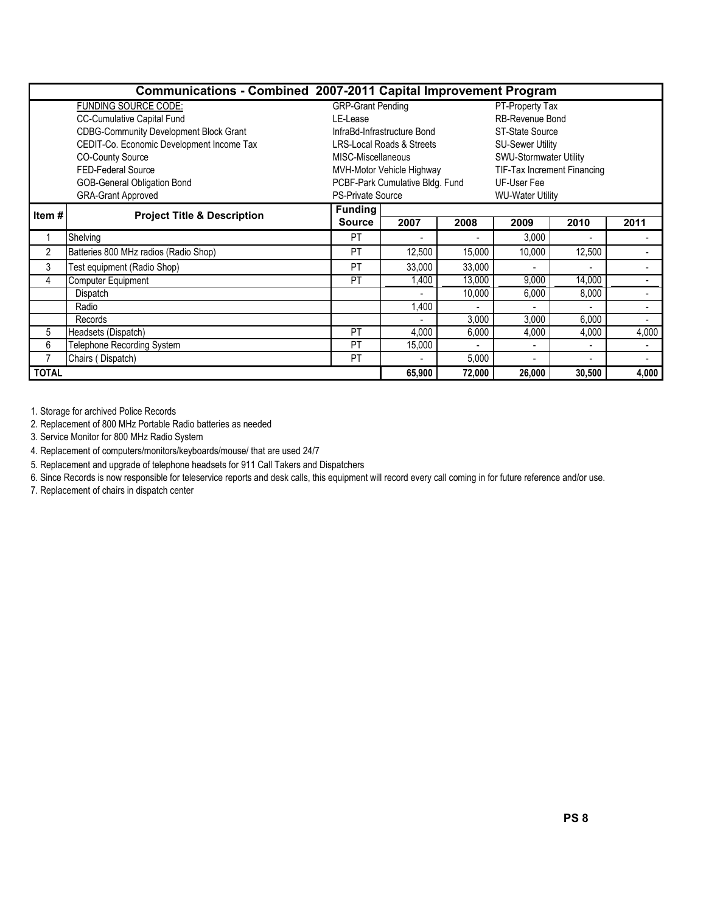|                | Communications - Combined 2007-2011 Capital Improvement Program |                          |                                      |                |                             |                |       |  |  |  |
|----------------|-----------------------------------------------------------------|--------------------------|--------------------------------------|----------------|-----------------------------|----------------|-------|--|--|--|
|                | <b>FUNDING SOURCE CODE:</b>                                     | <b>GRP-Grant Pending</b> |                                      |                | PT-Property Tax             |                |       |  |  |  |
|                | <b>CC-Cumulative Capital Fund</b>                               | LE-Lease                 |                                      |                | <b>RB-Revenue Bond</b>      |                |       |  |  |  |
|                | <b>CDBG-Community Development Block Grant</b>                   |                          | InfraBd-Infrastructure Bond          |                | ST-State Source             |                |       |  |  |  |
|                | CEDIT-Co. Economic Development Income Tax                       |                          | <b>LRS-Local Roads &amp; Streets</b> |                | <b>SU-Sewer Utility</b>     |                |       |  |  |  |
|                | <b>CO-County Source</b>                                         | MISC-Miscellaneous       |                                      |                | SWU-Stormwater Utility      |                |       |  |  |  |
|                | <b>FED-Federal Source</b>                                       |                          | MVH-Motor Vehicle Highway            |                | TIF-Tax Increment Financing |                |       |  |  |  |
|                | <b>GOB-General Obligation Bond</b>                              |                          | PCBF-Park Cumulative Bldg. Fund      |                | UF-User Fee                 |                |       |  |  |  |
|                | <b>GRA-Grant Approved</b>                                       | <b>PS-Private Source</b> |                                      |                | <b>WU-Water Utility</b>     |                |       |  |  |  |
| Item#          | <b>Project Title &amp; Description</b>                          | <b>Funding</b>           |                                      |                |                             |                |       |  |  |  |
|                |                                                                 | <b>Source</b>            | 2007                                 | 2008           | 2009                        | 2010           | 2011  |  |  |  |
|                | Shelving                                                        | PT                       | ٠                                    |                | 3,000                       | ٠              |       |  |  |  |
| $\overline{2}$ | Batteries 800 MHz radios (Radio Shop)                           | <b>PT</b>                | 12,500                               | 15,000         | 10,000                      | 12,500         |       |  |  |  |
| 3              | Test equipment (Radio Shop)                                     | <b>PT</b>                | 33,000                               | 33,000         |                             |                |       |  |  |  |
| 4              | Computer Equipment                                              | <b>PT</b>                | ,400                                 | 13,000         | 9,000                       | 14,000         |       |  |  |  |
|                | Dispatch                                                        |                          |                                      | 10,000         | 6,000                       | 8,000          |       |  |  |  |
|                | Radio                                                           |                          | ,400                                 |                |                             |                |       |  |  |  |
|                | Records                                                         |                          |                                      | 3,000          | 3,000                       | 6,000          |       |  |  |  |
| 5              | Headsets (Dispatch)                                             | <b>PT</b>                | 4,000                                | 6,000          | 4,000                       | 4,000          | 4,000 |  |  |  |
| 6              | Telephone Recording System                                      | <b>PT</b>                | 15,000                               | $\overline{a}$ | ٠                           | $\blacksquare$ |       |  |  |  |
|                | Chairs (Dispatch)                                               | <b>PT</b>                | ٠                                    | 5,000          |                             | ٠              |       |  |  |  |
| <b>TOTAL</b>   |                                                                 |                          | 65,900                               | 72,000         | 26,000                      | 30,500         | 4,000 |  |  |  |

1. Storage for archived Police Records

2. Replacement of 800 MHz Portable Radio batteries as needed

3. Service Monitor for 800 MHz Radio System

4. Replacement of computers/monitors/keyboards/mouse/ that are used 24/7

5. Replacement and upgrade of telephone headsets for 911 Call Takers and Dispatchers

6. Since Records is now responsible for teleservice reports and desk calls, this equipment will record every call coming in for future reference and/or use.

7. Replacement of chairs in dispatch center